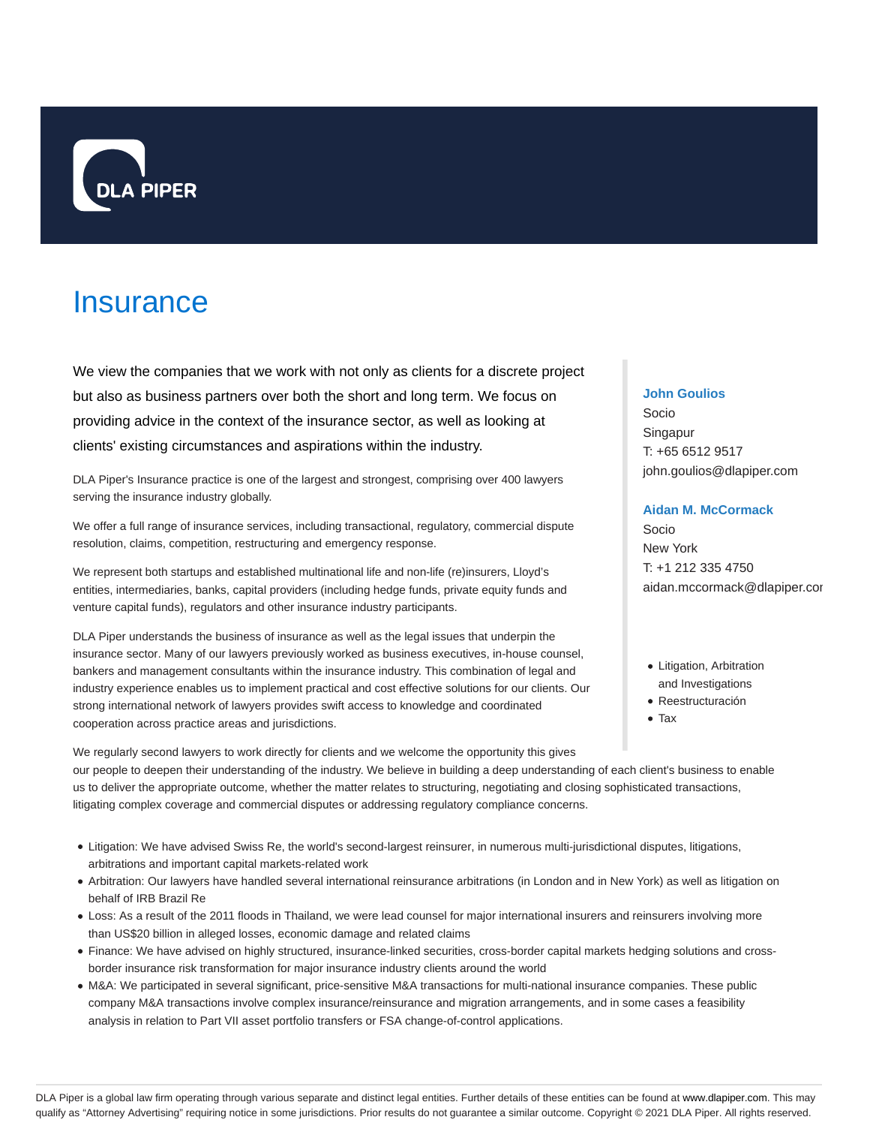

# **Insurance**

We view the companies that we work with not only as clients for a discrete project but also as business partners over both the short and long term. We focus on providing advice in the context of the insurance sector, as well as looking at clients' existing circumstances and aspirations within the industry.

DLA Piper's Insurance practice is one of the largest and strongest, comprising over 400 lawyers serving the insurance industry globally.

We offer a full range of insurance services, including transactional, regulatory, commercial dispute resolution, claims, competition, restructuring and emergency response.

We represent both startups and established multinational life and non-life (re)insurers, Lloyd's entities, intermediaries, banks, capital providers (including hedge funds, private equity funds and venture capital funds), regulators and other insurance industry participants.

DLA Piper understands the business of insurance as well as the legal issues that underpin the insurance sector. Many of our lawyers previously worked as business executives, in-house counsel, bankers and management consultants within the insurance industry. This combination of legal and industry experience enables us to implement practical and cost effective solutions for our clients. Our strong international network of lawyers provides swift access to knowledge and coordinated cooperation across practice areas and jurisdictions.

## **John Goulios**

Socio Singapur T: +65 6512 9517 john.goulios@dlapiper.com

#### **Aidan M. McCormack**

Socio New York T: +1 212 335 4750 aidan.mccormack@dlapiper.cor

- Litigation, Arbitration and Investigations
- Reestructuración
- Tax

We regularly second lawyers to work directly for clients and we welcome the opportunity this gives our people to deepen their understanding of the industry. We believe in building a deep understanding of each client's business to enable us to deliver the appropriate outcome, whether the matter relates to structuring, negotiating and closing sophisticated transactions, litigating complex coverage and commercial disputes or addressing regulatory compliance concerns.

- Litigation: We have advised Swiss Re, the world's second-largest reinsurer, in numerous multi-jurisdictional disputes, litigations, arbitrations and important capital markets-related work
- Arbitration: Our lawyers have handled several international reinsurance arbitrations (in London and in New York) as well as litigation on behalf of IRB Brazil Re
- Loss: As a result of the 2011 floods in Thailand, we were lead counsel for major international insurers and reinsurers involving more than US\$20 billion in alleged losses, economic damage and related claims
- Finance: We have advised on highly structured, insurance-linked securities, cross-border capital markets hedging solutions and crossborder insurance risk transformation for major insurance industry clients around the world
- M&A: We participated in several significant, price-sensitive M&A transactions for multi-national insurance companies. These public company M&A transactions involve complex insurance/reinsurance and migration arrangements, and in some cases a feasibility analysis in relation to Part VII asset portfolio transfers or FSA change-of-control applications.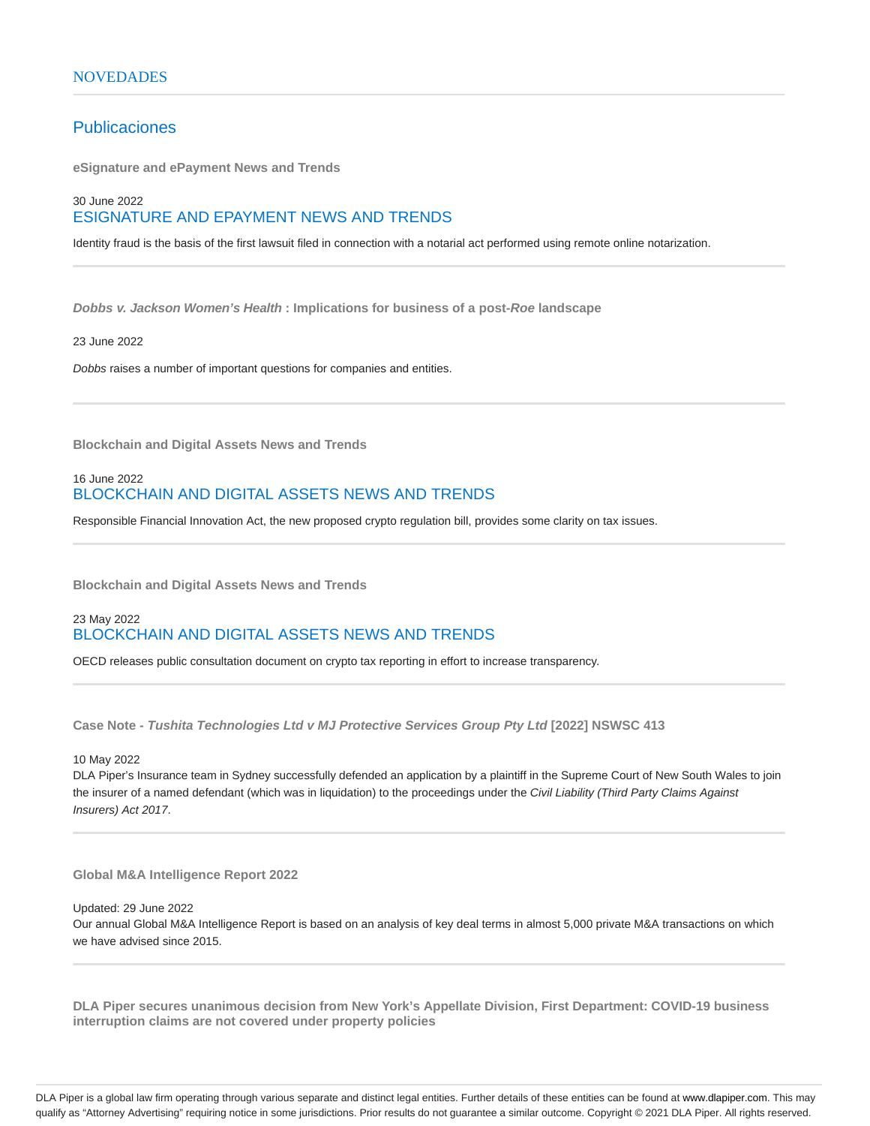# Publicaciones

**eSignature and ePayment News and Trends**

## 30 June 2022 ESIGNATURE AND EPAYMENT NEWS AND TRENDS

Identity fraud is the basis of the first lawsuit filed in connection with a notarial act performed using remote online notarization.

**Dobbs v. Jackson Women's Health : Implications for business of a post-Roe landscape**

#### 23 June 2022

Dobbs raises a number of important questions for companies and entities.

**Blockchain and Digital Assets News and Trends**

## 16 June 2022 BLOCKCHAIN AND DIGITAL ASSETS NEWS AND TRENDS

Responsible Financial Innovation Act, the new proposed crypto regulation bill, provides some clarity on tax issues.

**Blockchain and Digital Assets News and Trends**

## 23 May 2022 BLOCKCHAIN AND DIGITAL ASSETS NEWS AND TRENDS

OECD releases public consultation document on crypto tax reporting in effort to increase transparency.

**Case Note - Tushita Technologies Ltd v MJ Protective Services Group Pty Ltd [2022] NSWSC 413**

## 10 May 2022

DLA Piper's Insurance team in Sydney successfully defended an application by a plaintiff in the Supreme Court of New South Wales to join the insurer of a named defendant (which was in liquidation) to the proceedings under the Civil Liability (Third Party Claims Against Insurers) Act 2017.

#### **Global M&A Intelligence Report 2022**

#### Updated: 29 June 2022

Our annual Global M&A Intelligence Report is based on an analysis of key deal terms in almost 5,000 private M&A transactions on which we have advised since 2015.

**DLA Piper secures unanimous decision from New York's Appellate Division, First Department: COVID-19 business interruption claims are not covered under property policies**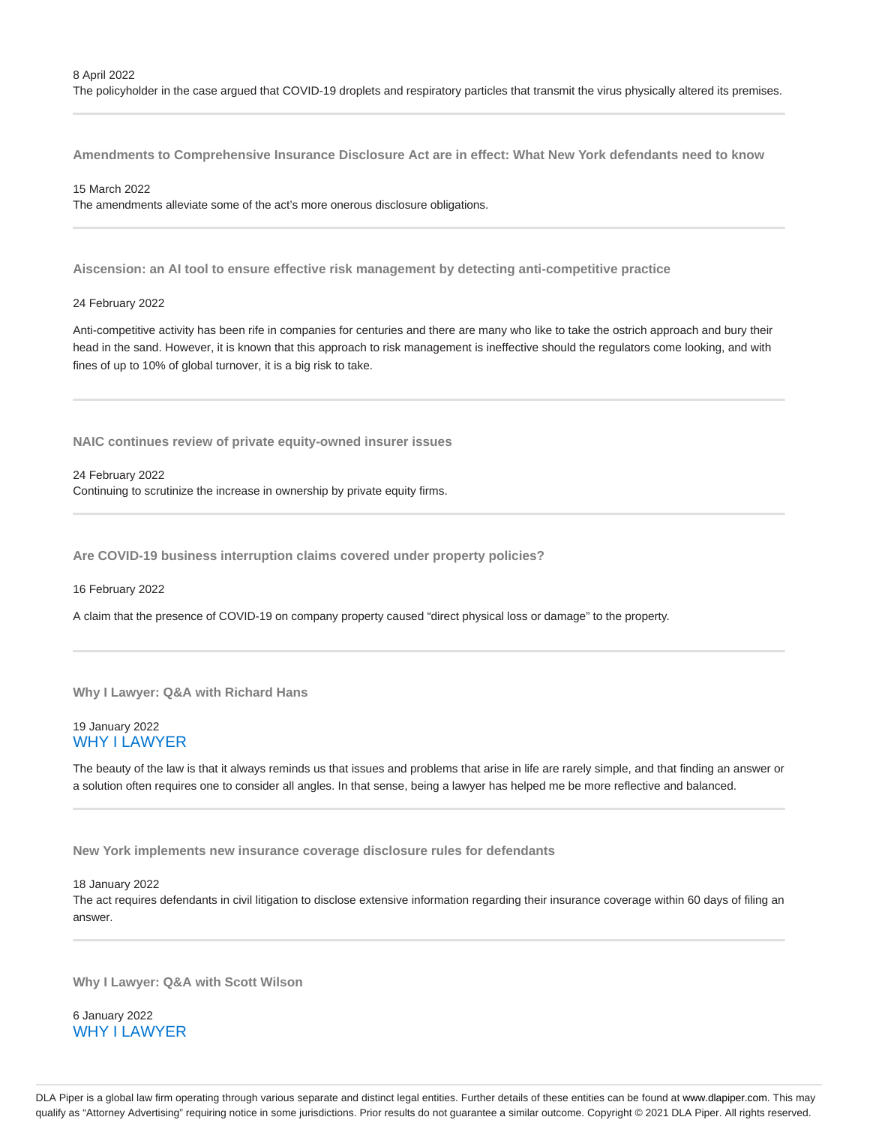The policyholder in the case argued that COVID-19 droplets and respiratory particles that transmit the virus physically altered its premises.

**Amendments to Comprehensive Insurance Disclosure Act are in effect: What New York defendants need to know**

#### 15 March 2022

The amendments alleviate some of the act's more onerous disclosure obligations.

**Aiscension: an AI tool to ensure effective risk management by detecting anti-competitive practice**

#### 24 February 2022

Anti-competitive activity has been rife in companies for centuries and there are many who like to take the ostrich approach and bury their head in the sand. However, it is known that this approach to risk management is ineffective should the regulators come looking, and with fines of up to 10% of global turnover, it is a big risk to take.

**NAIC continues review of private equity-owned insurer issues**

#### 24 February 2022

Continuing to scrutinize the increase in ownership by private equity firms.

**Are COVID-19 business interruption claims covered under property policies?**

#### 16 February 2022

A claim that the presence of COVID-19 on company property caused "direct physical loss or damage" to the property.

#### **Why I Lawyer: Q&A with Richard Hans**

## 19 January 2022 WHY I LAWYER

The beauty of the law is that it always reminds us that issues and problems that arise in life are rarely simple, and that finding an answer or a solution often requires one to consider all angles. In that sense, being a lawyer has helped me be more reflective and balanced.

**New York implements new insurance coverage disclosure rules for defendants**

#### 18 January 2022

The act requires defendants in civil litigation to disclose extensive information regarding their insurance coverage within 60 days of filing an answer.

**Why I Lawyer: Q&A with Scott Wilson**

6 January 2022 WHY I LAWYER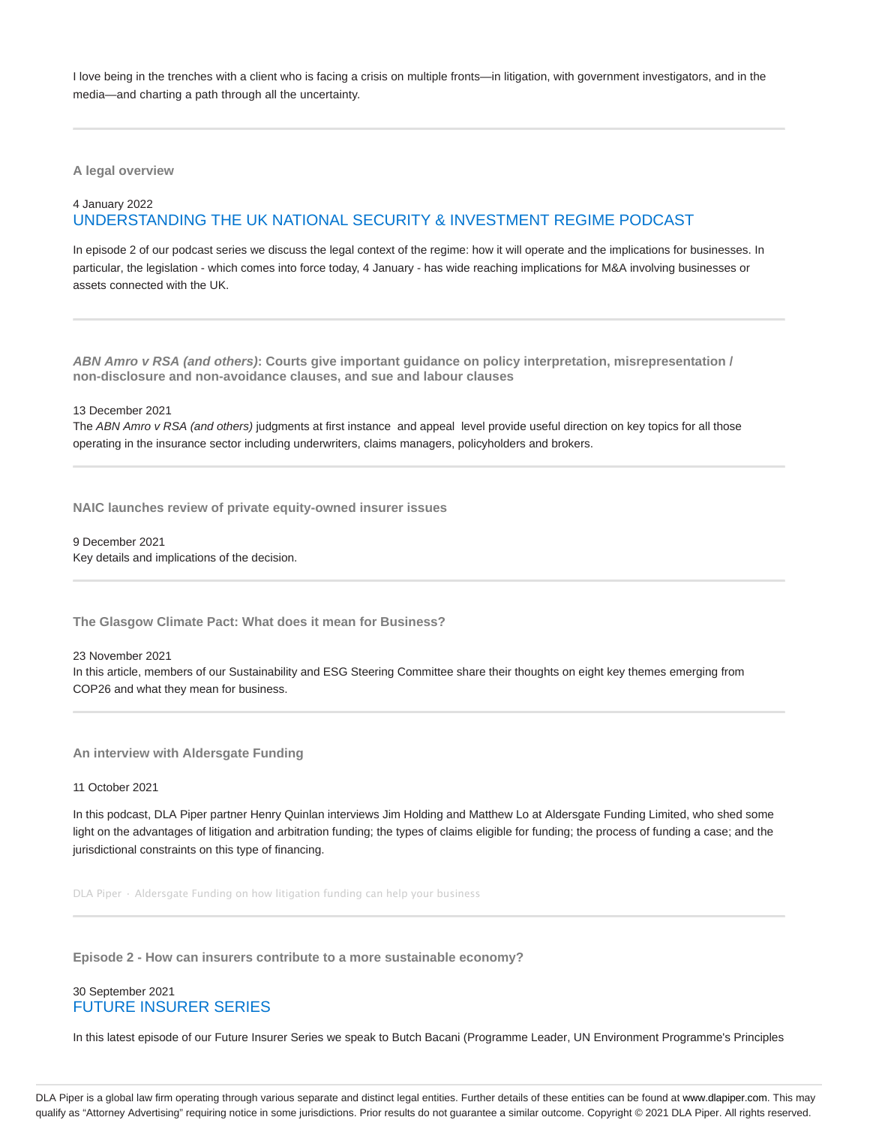I love being in the trenches with a client who is facing a crisis on multiple fronts—in litigation, with government investigators, and in the media—and charting a path through all the uncertainty.

**A legal overview**

## 4 January 2022 UNDERSTANDING THE UK NATIONAL SECURITY & INVESTMENT REGIME PODCAST

In episode 2 of our podcast series we discuss the legal context of the regime: how it will operate and the implications for businesses. In particular, the legislation - which comes into force today, 4 January - has wide reaching implications for M&A involving businesses or assets connected with the UK.

**ABN Amro v RSA (and others): Courts give important guidance on policy interpretation, misrepresentation / non-disclosure and non-avoidance clauses, and sue and labour clauses**

13 December 2021

The ABN Amro v RSA (and others) judgments at first instance and appeal level provide useful direction on key topics for all those operating in the insurance sector including underwriters, claims managers, policyholders and brokers.

**NAIC launches review of private equity-owned insurer issues**

9 December 2021 Key details and implications of the decision.

**The Glasgow Climate Pact: What does it mean for Business?**

23 November 2021

In this article, members of our Sustainability and ESG Steering Committee share their thoughts on eight key themes emerging from COP26 and what they mean for business.

**An interview with Aldersgate Funding**

#### 11 October 2021

In this podcast, DLA Piper partner Henry Quinlan interviews Jim Holding and Matthew Lo at Aldersgate Funding Limited, who shed some light on the advantages of litigation and arbitration funding; the types of claims eligible for funding; the process of funding a case; and the jurisdictional constraints on this type of financing.

DLA Piper · Aldersgate Funding on how litigation funding can help your business

**Episode 2 - How can insurers contribute to a more sustainable economy?**

## 30 September 2021 FUTURE INSURER SERIES

In this latest episode of our Future Insurer Series we speak to Butch Bacani (Programme Leader, UN Environment Programme's Principles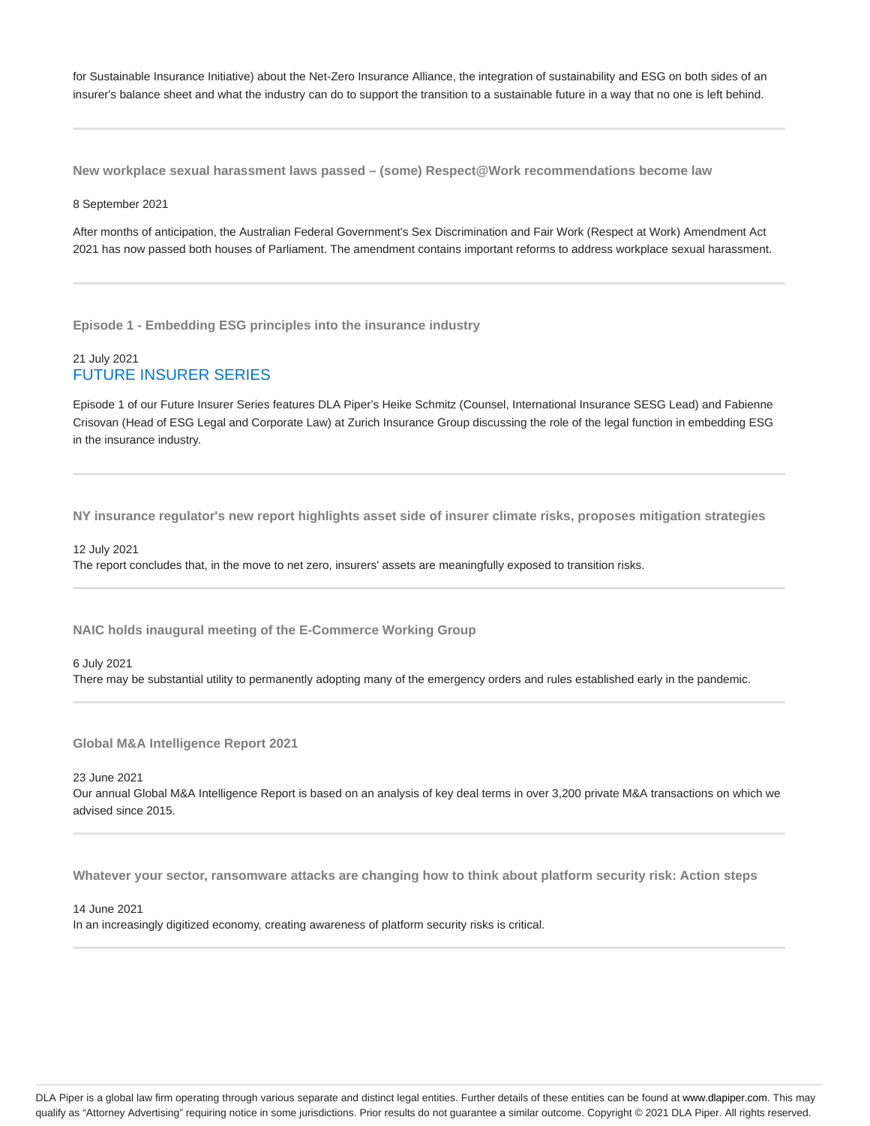for Sustainable Insurance Initiative) about the Net-Zero Insurance Alliance, the integration of sustainability and ESG on both sides of an insurer's balance sheet and what the industry can do to support the transition to a sustainable future in a way that no one is left behind.

**New workplace sexual harassment laws passed – (some) Respect@Work recommendations become law**

#### 8 September 2021

After months of anticipation, the Australian Federal Government's Sex Discrimination and Fair Work (Respect at Work) Amendment Act 2021 has now passed both houses of Parliament. The amendment contains important reforms to address workplace sexual harassment.

**Episode 1 - Embedding ESG principles into the insurance industry**

## 21 July 2021 FUTURE INSURER SERIES

Episode 1 of our Future Insurer Series features DLA Piper's Heike Schmitz (Counsel, International Insurance SESG Lead) and Fabienne Crisovan (Head of ESG Legal and Corporate Law) at Zurich Insurance Group discussing the role of the legal function in embedding ESG in the insurance industry.

**NY insurance regulator's new report highlights asset side of insurer climate risks, proposes mitigation strategies**

12 July 2021 The report concludes that, in the move to net zero, insurers' assets are meaningfully exposed to transition risks.

**NAIC holds inaugural meeting of the E-Commerce Working Group**

6 July 2021 There may be substantial utility to permanently adopting many of the emergency orders and rules established early in the pandemic.

**Global M&A Intelligence Report 2021**

23 June 2021

Our annual Global M&A Intelligence Report is based on an analysis of key deal terms in over 3,200 private M&A transactions on which we advised since 2015.

**Whatever your sector, ransomware attacks are changing how to think about platform security risk: Action steps**

14 June 2021

In an increasingly digitized economy, creating awareness of platform security risks is critical.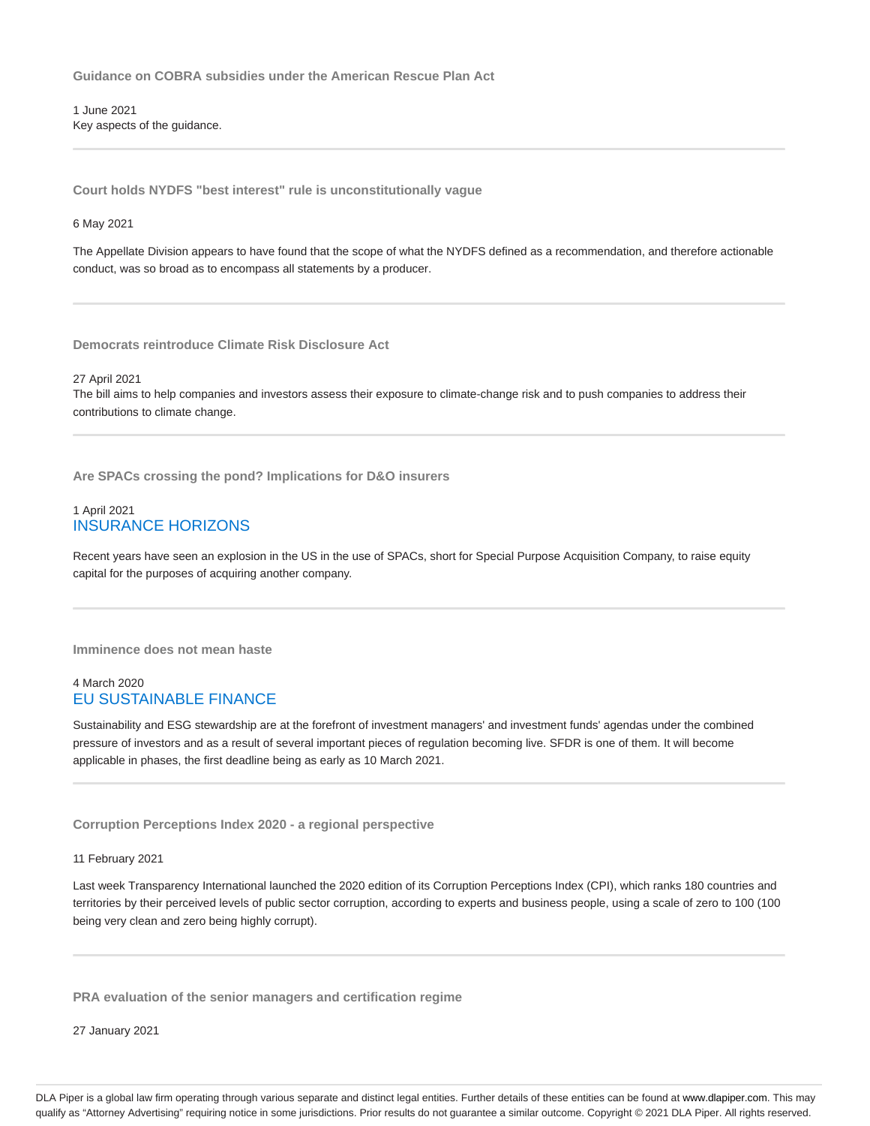**Guidance on COBRA subsidies under the American Rescue Plan Act**

1 June 2021 Key aspects of the guidance.

**Court holds NYDFS "best interest" rule is unconstitutionally vague**

6 May 2021

The Appellate Division appears to have found that the scope of what the NYDFS defined as a recommendation, and therefore actionable conduct, was so broad as to encompass all statements by a producer.

**Democrats reintroduce Climate Risk Disclosure Act**

27 April 2021

The bill aims to help companies and investors assess their exposure to climate-change risk and to push companies to address their contributions to climate change.

**Are SPACs crossing the pond? Implications for D&O insurers**

## 1 April 2021 INSURANCE HORIZONS

Recent years have seen an explosion in the US in the use of SPACs, short for Special Purpose Acquisition Company, to raise equity capital for the purposes of acquiring another company.

**Imminence does not mean haste**

## 4 March 2020 EU SUSTAINABLE FINANCE

Sustainability and ESG stewardship are at the forefront of investment managers' and investment funds' agendas under the combined pressure of investors and as a result of several important pieces of regulation becoming live. SFDR is one of them. It will become applicable in phases, the first deadline being as early as 10 March 2021.

**Corruption Perceptions Index 2020 - a regional perspective**

11 February 2021

Last week Transparency International launched the 2020 edition of its Corruption Perceptions Index (CPI), which ranks 180 countries and territories by their perceived levels of public sector corruption, according to experts and business people, using a scale of zero to 100 (100 being very clean and zero being highly corrupt).

**PRA evaluation of the senior managers and certification regime**

27 January 2021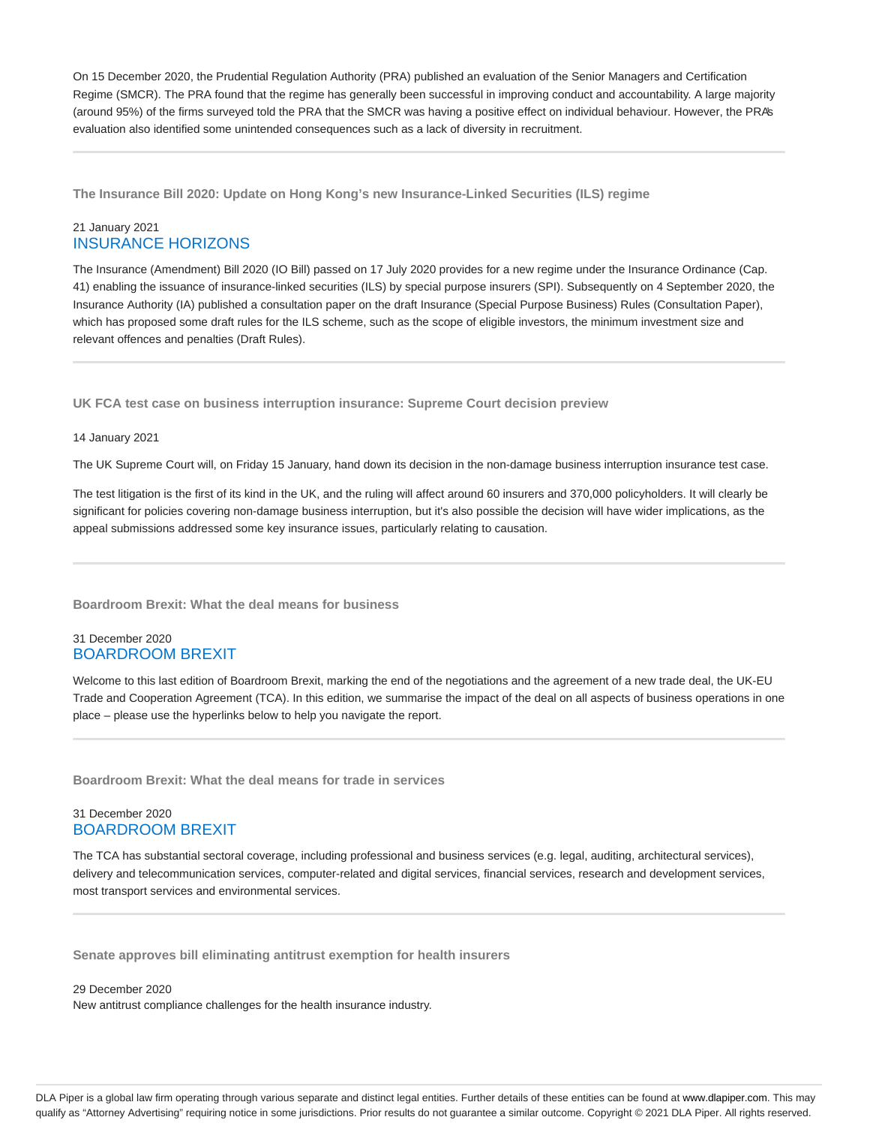On 15 December 2020, the Prudential Regulation Authority (PRA) published an evaluation of the Senior Managers and Certification Regime (SMCR). The PRA found that the regime has generally been successful in improving conduct and accountability. A large majority (around 95%) of the firms surveyed told the PRA that the SMCR was having a positive effect on individual behaviour. However, the PRA's evaluation also identified some unintended consequences such as a lack of diversity in recruitment.

**The Insurance Bill 2020: Update on Hong Kong's new Insurance-Linked Securities (ILS) regime**

## 21 January 2021 INSURANCE HORIZONS

The Insurance (Amendment) Bill 2020 (IO Bill) passed on 17 July 2020 provides for a new regime under the Insurance Ordinance (Cap. 41) enabling the issuance of insurance-linked securities (ILS) by special purpose insurers (SPI). Subsequently on 4 September 2020, the Insurance Authority (IA) published a consultation paper on the draft Insurance (Special Purpose Business) Rules (Consultation Paper), which has proposed some draft rules for the ILS scheme, such as the scope of eligible investors, the minimum investment size and relevant offences and penalties (Draft Rules).

**UK FCA test case on business interruption insurance: Supreme Court decision preview**

#### 14 January 2021

The UK Supreme Court will, on Friday 15 January, hand down its decision in the non-damage business interruption insurance test case.

The test litigation is the first of its kind in the UK, and the ruling will affect around 60 insurers and 370,000 policyholders. It will clearly be significant for policies covering non-damage business interruption, but it's also possible the decision will have wider implications, as the appeal submissions addressed some key insurance issues, particularly relating to causation.

**Boardroom Brexit: What the deal means for business**

## 31 December 2020 BOARDROOM BREXIT

Welcome to this last edition of Boardroom Brexit, marking the end of the negotiations and the agreement of a new trade deal, the UK-EU Trade and Cooperation Agreement (TCA). In this edition, we summarise the impact of the deal on all aspects of business operations in one place – please use the hyperlinks below to help you navigate the report.

**Boardroom Brexit: What the deal means for trade in services**

## 31 December 2020 BOARDROOM BREXIT

The TCA has substantial sectoral coverage, including professional and business services (e.g. legal, auditing, architectural services), delivery and telecommunication services, computer-related and digital services, financial services, research and development services, most transport services and environmental services.

**Senate approves bill eliminating antitrust exemption for health insurers**

29 December 2020 New antitrust compliance challenges for the health insurance industry.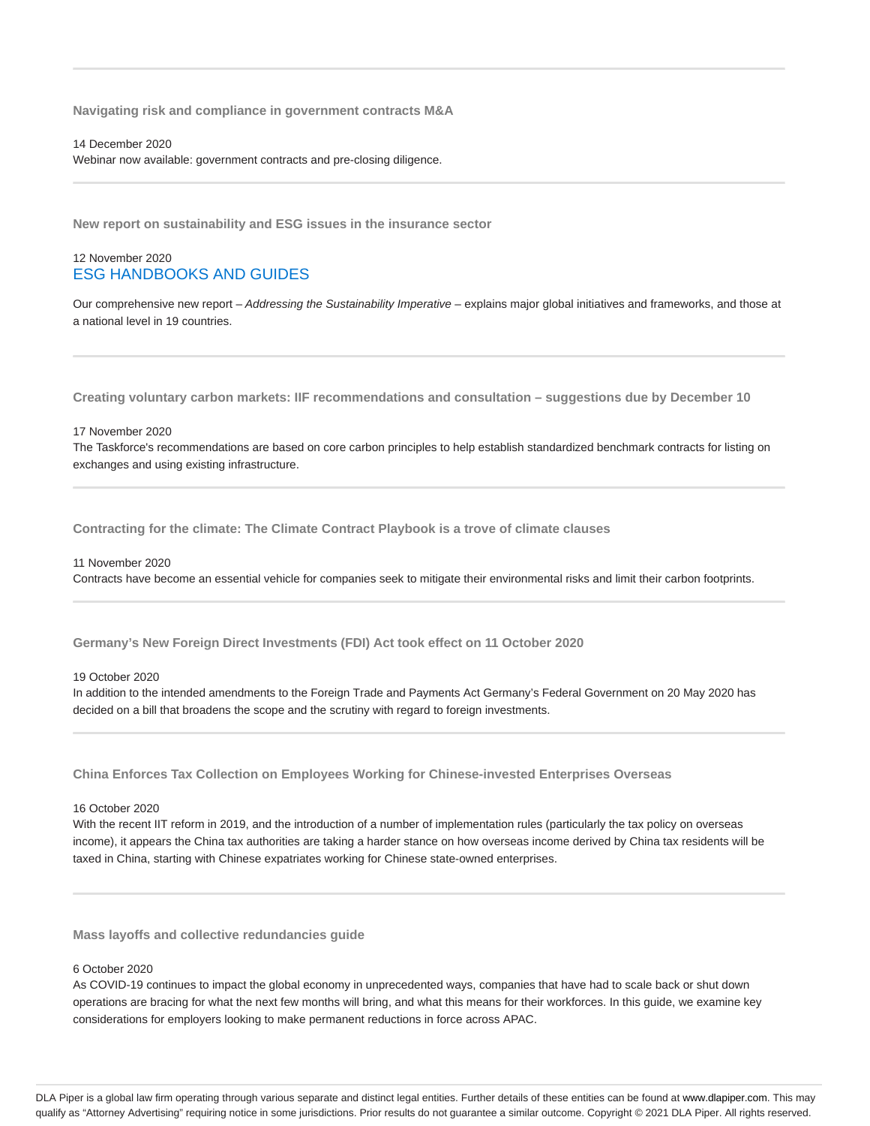**Navigating risk and compliance in government contracts M&A**

14 December 2020

Webinar now available: government contracts and pre-closing diligence.

**New report on sustainability and ESG issues in the insurance sector**

## 12 November 2020 ESG HANDBOOKS AND GUIDES

Our comprehensive new report - Addressing the Sustainability Imperative - explains major global initiatives and frameworks, and those at a national level in 19 countries.

**Creating voluntary carbon markets: IIF recommendations and consultation – suggestions due by December 10**

#### 17 November 2020

The Taskforce's recommendations are based on core carbon principles to help establish standardized benchmark contracts for listing on exchanges and using existing infrastructure.

**Contracting for the climate: The Climate Contract Playbook is a trove of climate clauses**

#### 11 November 2020

Contracts have become an essential vehicle for companies seek to mitigate their environmental risks and limit their carbon footprints.

**Germany's New Foreign Direct Investments (FDI) Act took effect on 11 October 2020**

#### 19 October 2020

In addition to the intended amendments to the Foreign Trade and Payments Act Germany's Federal Government on 20 May 2020 has decided on a bill that broadens the scope and the scrutiny with regard to foreign investments.

**China Enforces Tax Collection on Employees Working for Chinese-invested Enterprises Overseas**

## 16 October 2020

With the recent IIT reform in 2019, and the introduction of a number of implementation rules (particularly the tax policy on overseas income), it appears the China tax authorities are taking a harder stance on how overseas income derived by China tax residents will be taxed in China, starting with Chinese expatriates working for Chinese state-owned enterprises.

**Mass layoffs and collective redundancies guide**

## 6 October 2020

As COVID-19 continues to impact the global economy in unprecedented ways, companies that have had to scale back or shut down operations are bracing for what the next few months will bring, and what this means for their workforces. In this guide, we examine key considerations for employers looking to make permanent reductions in force across APAC.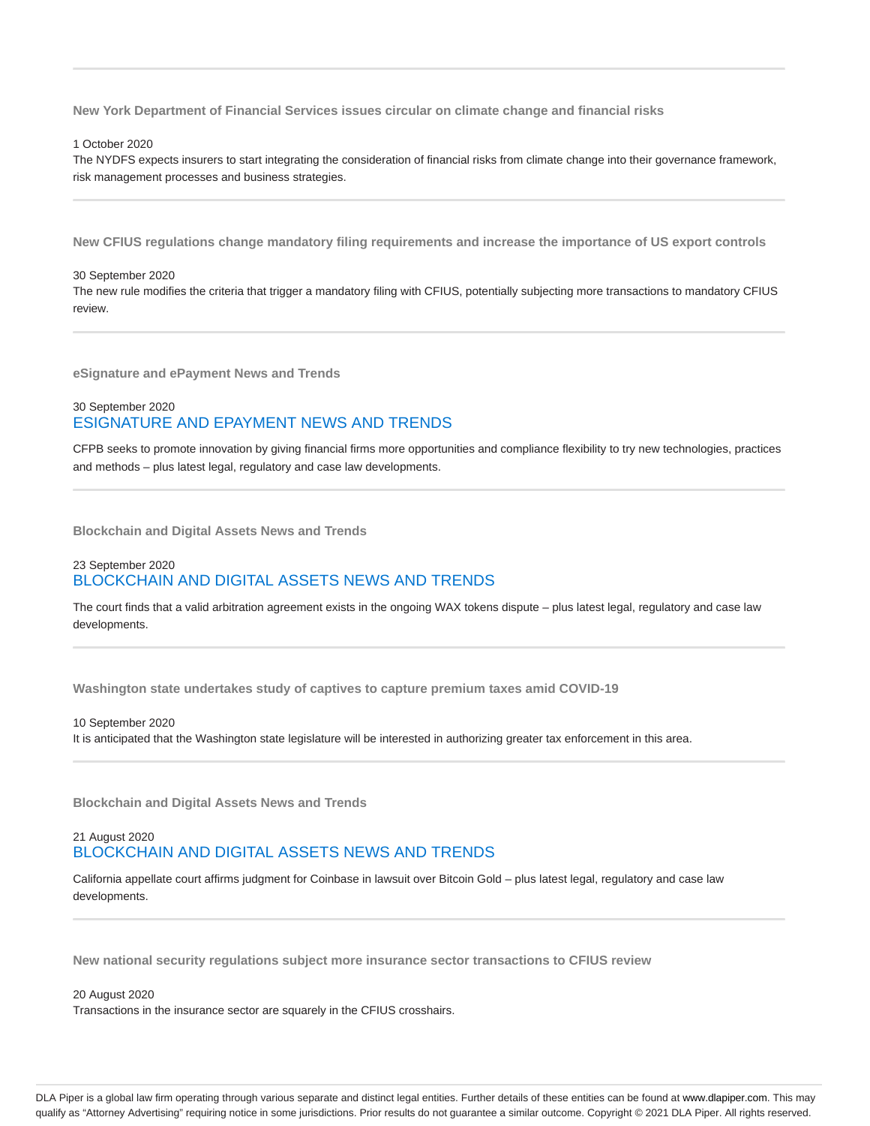**New York Department of Financial Services issues circular on climate change and financial risks**

#### 1 October 2020

The NYDFS expects insurers to start integrating the consideration of financial risks from climate change into their governance framework, risk management processes and business strategies.

**New CFIUS regulations change mandatory filing requirements and increase the importance of US export controls**

#### 30 September 2020

The new rule modifies the criteria that trigger a mandatory filing with CFIUS, potentially subjecting more transactions to mandatory CFIUS review.

**eSignature and ePayment News and Trends**

## 30 September 2020 ESIGNATURE AND EPAYMENT NEWS AND TRENDS

CFPB seeks to promote innovation by giving financial firms more opportunities and compliance flexibility to try new technologies, practices and methods – plus latest legal, regulatory and case law developments.

**Blockchain and Digital Assets News and Trends**

## 23 September 2020 BLOCKCHAIN AND DIGITAL ASSETS NEWS AND TRENDS

The court finds that a valid arbitration agreement exists in the ongoing WAX tokens dispute – plus latest legal, regulatory and case law developments.

**Washington state undertakes study of captives to capture premium taxes amid COVID-19**

#### 10 September 2020 It is anticipated that the Washington state legislature will be interested in authorizing greater tax enforcement in this area.

**Blockchain and Digital Assets News and Trends**

## 21 August 2020 BLOCKCHAIN AND DIGITAL ASSETS NEWS AND TRENDS

California appellate court affirms judgment for Coinbase in lawsuit over Bitcoin Gold – plus latest legal, regulatory and case law developments.

**New national security regulations subject more insurance sector transactions to CFIUS review**

20 August 2020 Transactions in the insurance sector are squarely in the CFIUS crosshairs.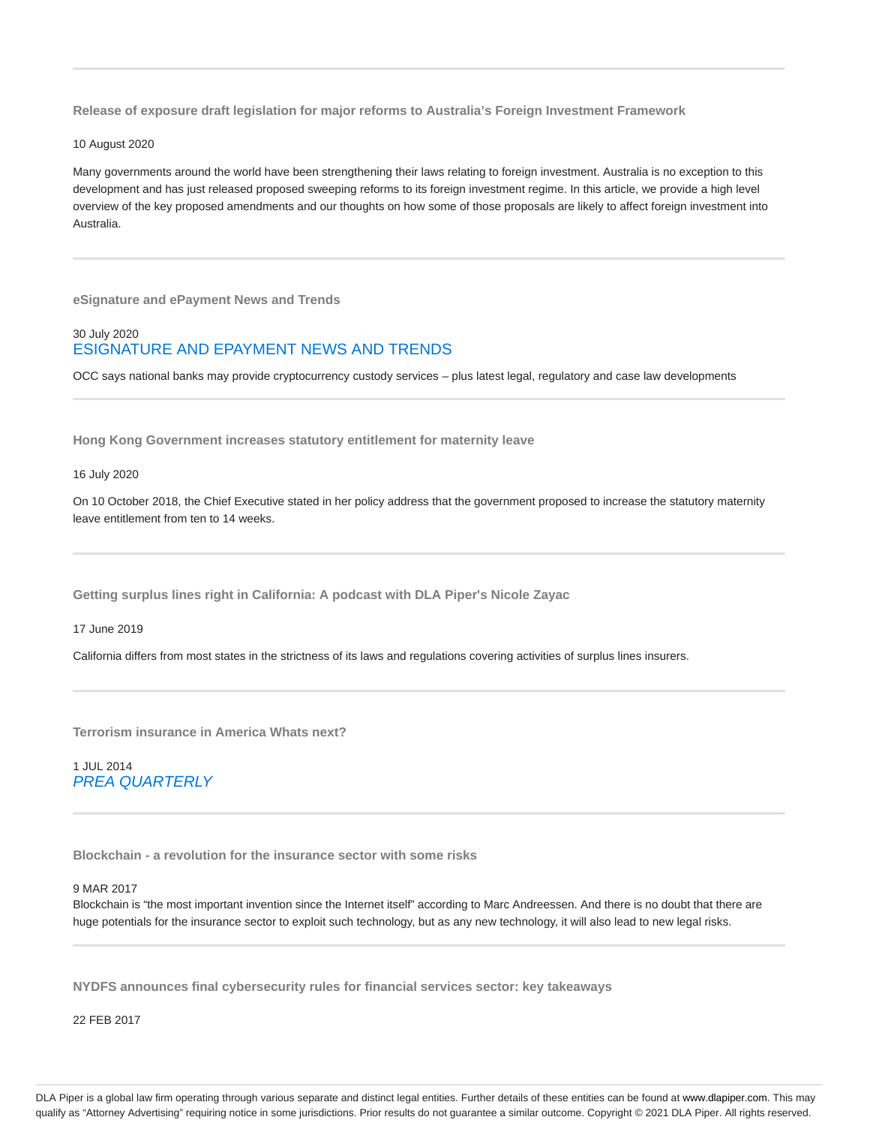**Release of exposure draft legislation for major reforms to Australia's Foreign Investment Framework**

10 August 2020

Many governments around the world have been strengthening their laws relating to foreign investment. Australia is no exception to this development and has just released proposed sweeping reforms to its foreign investment regime. In this article, we provide a high level overview of the key proposed amendments and our thoughts on how some of those proposals are likely to affect foreign investment into Australia.

**eSignature and ePayment News and Trends**

## 30 July 2020 ESIGNATURE AND EPAYMENT NEWS AND TRENDS

OCC says national banks may provide cryptocurrency custody services – plus latest legal, regulatory and case law developments

**Hong Kong Government increases statutory entitlement for maternity leave**

16 July 2020

On 10 October 2018, the Chief Executive stated in her policy address that the government proposed to increase the statutory maternity leave entitlement from ten to 14 weeks.

**Getting surplus lines right in California: A podcast with DLA Piper's Nicole Zayac**

17 June 2019

California differs from most states in the strictness of its laws and regulations covering activities of surplus lines insurers.

**Terrorism insurance in America Whats next?**

1 JUL 2014 PREA QUARTERLY

**Blockchain - a revolution for the insurance sector with some risks**

## 9 MAR 2017

Blockchain is "the most important invention since the Internet itself" according to Marc Andreessen. And there is no doubt that there are huge potentials for the insurance sector to exploit such technology, but as any new technology, it will also lead to new legal risks.

**NYDFS announces final cybersecurity rules for financial services sector: key takeaways**

22 FEB 2017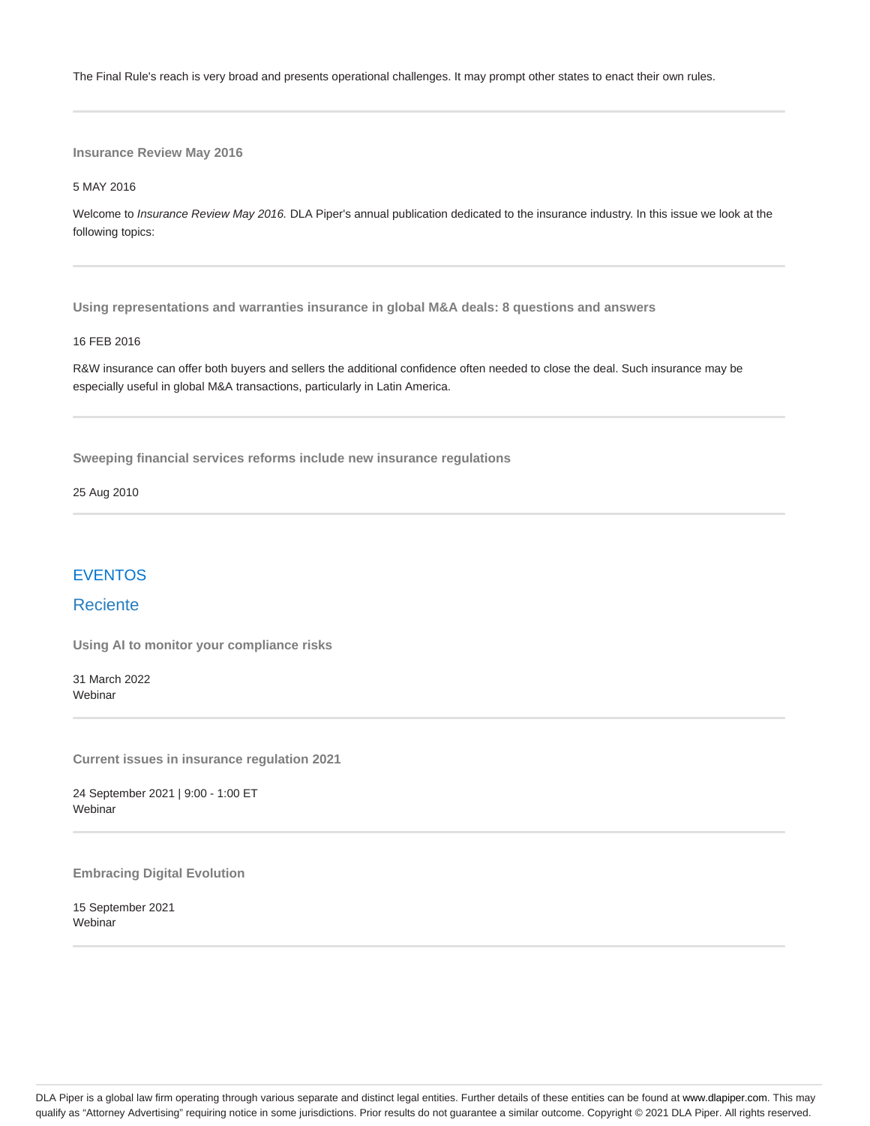The Final Rule's reach is very broad and presents operational challenges. It may prompt other states to enact their own rules.

**Insurance Review May 2016**

5 MAY 2016

Welcome to Insurance Review May 2016. DLA Piper's annual publication dedicated to the insurance industry. In this issue we look at the following topics:

**Using representations and warranties insurance in global M&A deals: 8 questions and answers**

#### 16 FEB 2016

R&W insurance can offer both buyers and sellers the additional confidence often needed to close the deal. Such insurance may be especially useful in global M&A transactions, particularly in Latin America.

**Sweeping financial services reforms include new insurance regulations**

25 Aug 2010

# EVENTOS

## Reciente

**Using AI to monitor your compliance risks**

31 March 2022 **Webinar** 

**Current issues in insurance regulation 2021**

24 September 2021 | 9:00 - 1:00 ET Webinar

**Embracing Digital Evolution**

15 September 2021 **Webinar**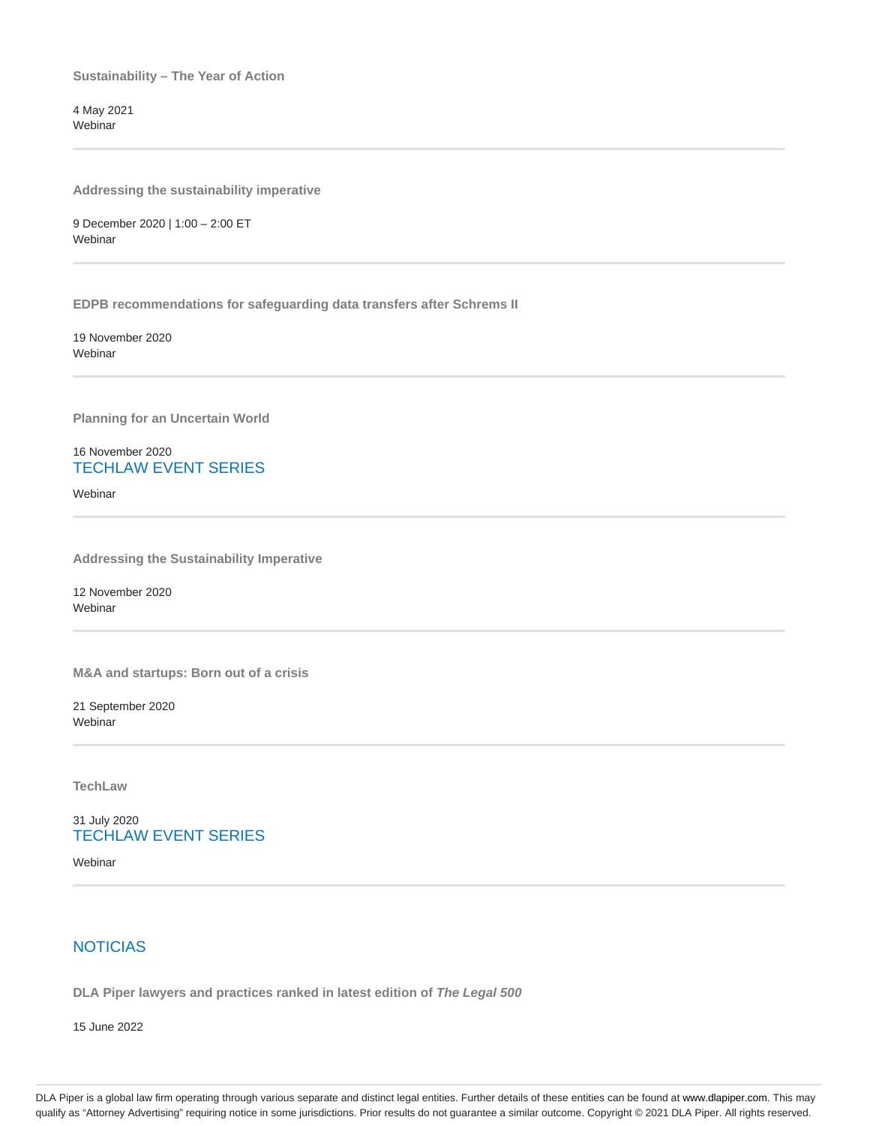**Sustainability – The Year of Action**

4 May 2021 Webinar

**Addressing the sustainability imperative**

9 December 2020 | 1:00 – 2:00 ET Webinar

**EDPB recommendations for safeguarding data transfers after Schrems II**

19 November 2020 **Webinar** 

**Planning for an Uncertain World**

16 November 2020 TECHLAW EVENT SERIES

**Webinar** 

**Addressing the Sustainability Imperative**

12 November 2020 Webinar

**M&A and startups: Born out of a crisis**

21 September 2020 Webinar

**TechLaw**

31 July 2020 TECHLAW EVENT SERIES

Webinar

# **NOTICIAS**

**DLA Piper lawyers and practices ranked in latest edition of The Legal 500**

15 June 2022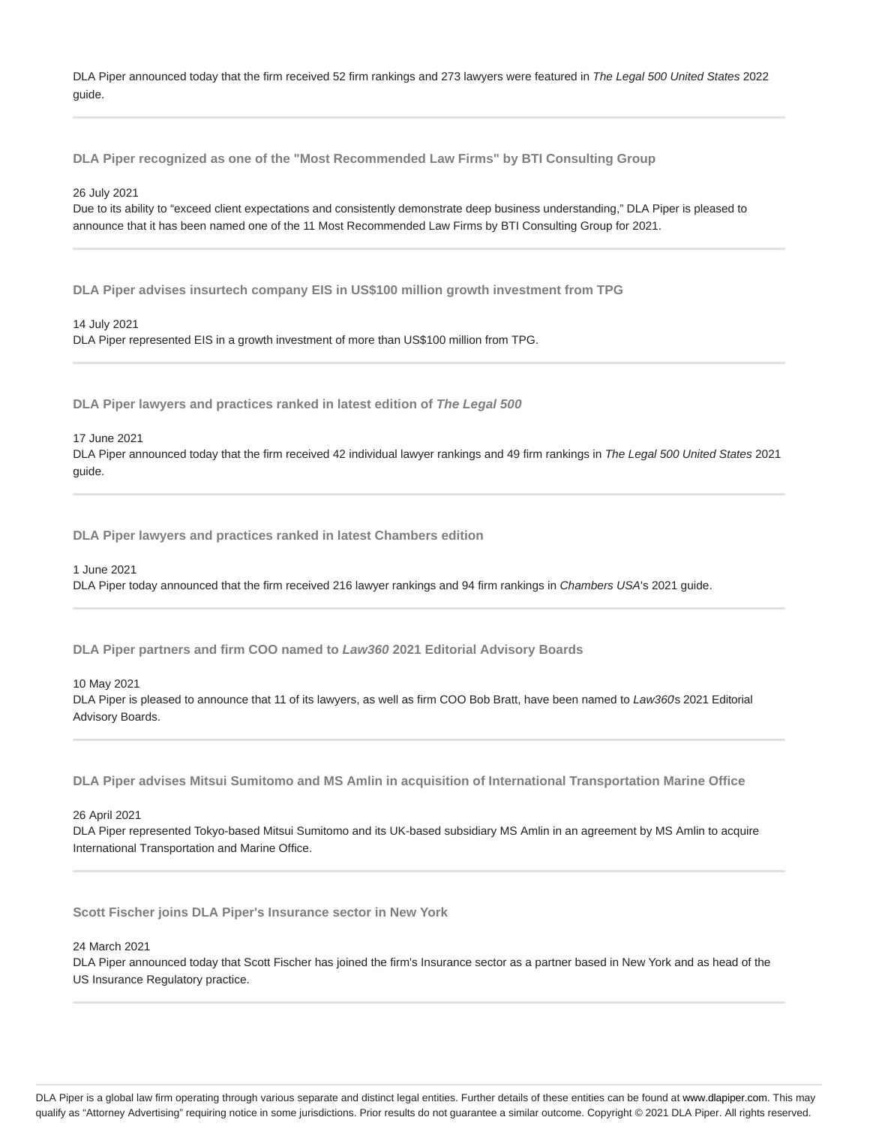DLA Piper announced today that the firm received 52 firm rankings and 273 lawyers were featured in The Legal 500 United States 2022 guide.

**DLA Piper recognized as one of the "Most Recommended Law Firms" by BTI Consulting Group**

26 July 2021

Due to its ability to "exceed client expectations and consistently demonstrate deep business understanding," DLA Piper is pleased to announce that it has been named one of the 11 Most Recommended Law Firms by BTI Consulting Group for 2021.

**DLA Piper advises insurtech company EIS in US\$100 million growth investment from TPG**

14 July 2021 DLA Piper represented EIS in a growth investment of more than US\$100 million from TPG.

**DLA Piper lawyers and practices ranked in latest edition of The Legal 500**

17 June 2021

DLA Piper announced today that the firm received 42 individual lawyer rankings and 49 firm rankings in The Legal 500 United States 2021 guide.

**DLA Piper lawyers and practices ranked in latest Chambers edition**

1 June 2021

DLA Piper today announced that the firm received 216 lawyer rankings and 94 firm rankings in Chambers USA's 2021 guide.

**DLA Piper partners and firm COO named to Law360 2021 Editorial Advisory Boards**

10 May 2021

DLA Piper is pleased to announce that 11 of its lawyers, as well as firm COO Bob Bratt, have been named to Law360s 2021 Editorial Advisory Boards.

**DLA Piper advises Mitsui Sumitomo and MS Amlin in acquisition of International Transportation Marine Office**

26 April 2021

DLA Piper represented Tokyo-based Mitsui Sumitomo and its UK-based subsidiary MS Amlin in an agreement by MS Amlin to acquire International Transportation and Marine Office.

**Scott Fischer joins DLA Piper's Insurance sector in New York**

24 March 2021

DLA Piper announced today that Scott Fischer has joined the firm's Insurance sector as a partner based in New York and as head of the US Insurance Regulatory practice.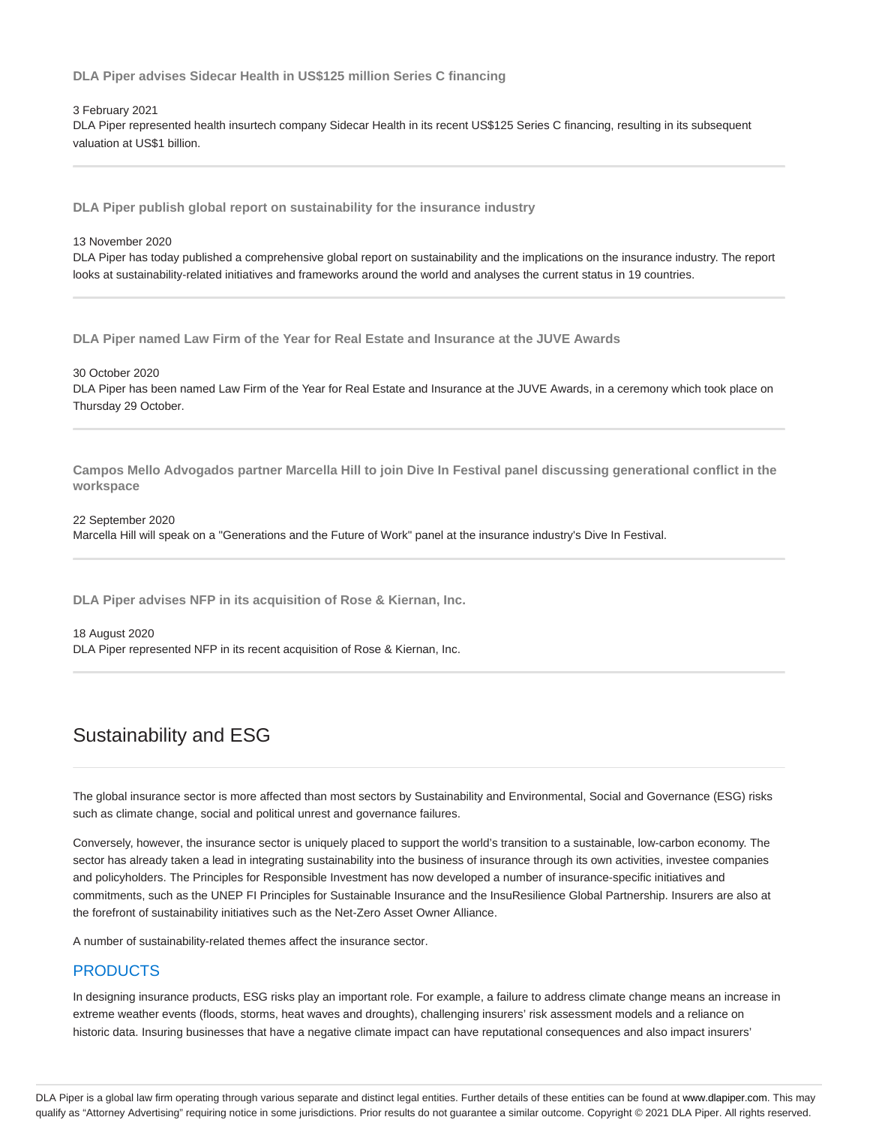**DLA Piper advises Sidecar Health in US\$125 million Series C financing**

#### 3 February 2021

DLA Piper represented health insurtech company Sidecar Health in its recent US\$125 Series C financing, resulting in its subsequent valuation at US\$1 billion.

**DLA Piper publish global report on sustainability for the insurance industry**

13 November 2020

DLA Piper has today published a comprehensive global report on sustainability and the implications on the insurance industry. The report looks at sustainability-related initiatives and frameworks around the world and analyses the current status in 19 countries.

**DLA Piper named Law Firm of the Year for Real Estate and Insurance at the JUVE Awards**

30 October 2020

DLA Piper has been named Law Firm of the Year for Real Estate and Insurance at the JUVE Awards, in a ceremony which took place on Thursday 29 October.

**Campos Mello Advogados partner Marcella Hill to join Dive In Festival panel discussing generational conflict in the workspace**

22 September 2020 Marcella Hill will speak on a "Generations and the Future of Work" panel at the insurance industry's Dive In Festival.

**DLA Piper advises NFP in its acquisition of Rose & Kiernan, Inc.**

18 August 2020

DLA Piper represented NFP in its recent acquisition of Rose & Kiernan, Inc.

# Sustainability and ESG

The global insurance sector is more affected than most sectors by Sustainability and Environmental, Social and Governance (ESG) risks such as climate change, social and political unrest and governance failures.

Conversely, however, the insurance sector is uniquely placed to support the world's transition to a sustainable, low-carbon economy. The sector has already taken a lead in integrating sustainability into the business of insurance through its own activities, investee companies and policyholders. The Principles for Responsible Investment has now developed a number of insurance-specific initiatives and commitments, such as the UNEP FI Principles for Sustainable Insurance and the InsuResilience Global Partnership. Insurers are also at the forefront of sustainability initiatives such as the Net-Zero Asset Owner Alliance.

A number of sustainability-related themes affect the insurance sector.

# **PRODUCTS**

In designing insurance products, ESG risks play an important role. For example, a failure to address climate change means an increase in extreme weather events (floods, storms, heat waves and droughts), challenging insurers' risk assessment models and a reliance on historic data. Insuring businesses that have a negative climate impact can have reputational consequences and also impact insurers'